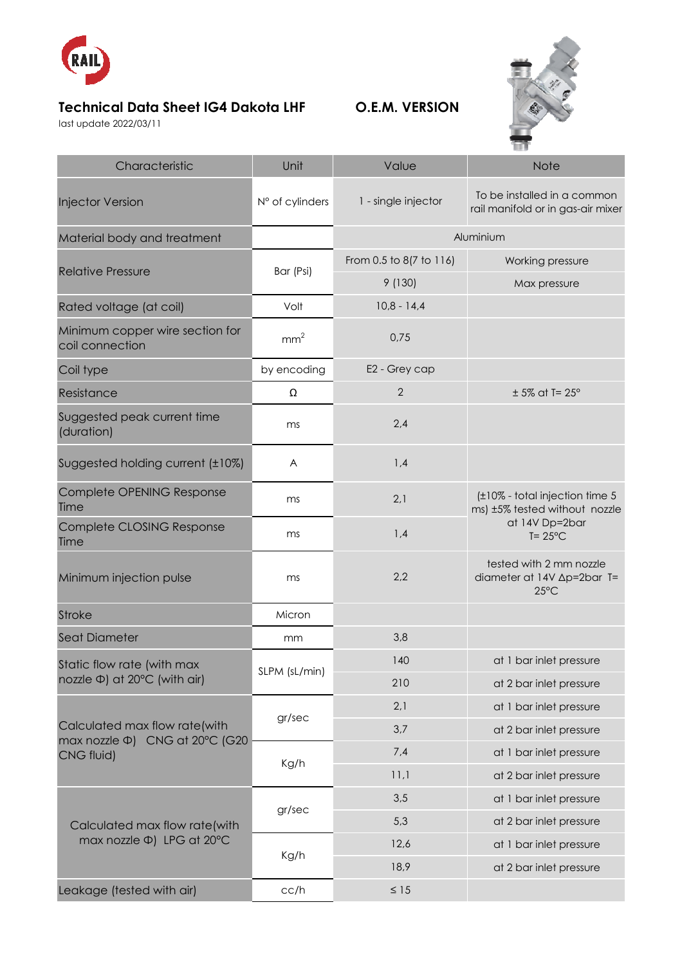

## **Technical Data Sheet IG4 Dakota LHF O.E.M. VERSION**

last update 2022/03/11



| Characteristic                                                                | Unit            | Value                   | <b>Note</b>                                                                                             |
|-------------------------------------------------------------------------------|-----------------|-------------------------|---------------------------------------------------------------------------------------------------------|
| <b>Injector Version</b>                                                       | N° of cylinders | 1 - single injector     | To be installed in a common<br>rail manifold or in gas-air mixer                                        |
| Material body and treatment                                                   |                 | Aluminium               |                                                                                                         |
| <b>Relative Pressure</b>                                                      | Bar (Psi)       | From 0.5 to 8(7 to 116) | Working pressure                                                                                        |
|                                                                               |                 | 9 (130)                 | Max pressure                                                                                            |
| Rated voltage (at coil)                                                       | Volt            | $10,8 - 14,4$           |                                                                                                         |
| Minimum copper wire section for<br>coil connection                            | mm <sup>2</sup> | 0,75                    |                                                                                                         |
| Coil type                                                                     | by encoding     | E2 - Grey cap           |                                                                                                         |
| Resistance                                                                    | Ω               | $\mathbf{2}$            | $± 5\%$ at T= 25 $^{\circ}$                                                                             |
| Suggested peak current time<br>(duration)                                     | ms              | 2,4                     |                                                                                                         |
| Suggested holding current (±10%)                                              | A               | 1,4                     |                                                                                                         |
| Complete OPENING Response<br>Time                                             | ms              | 2,1                     | (±10% - total injection time 5<br>ms) ±5% tested without nozzle<br>at 14V Dp=2bar<br>$T = 25^{\circ}$ C |
| Complete CLOSING Response<br>Time                                             | ms              | 1,4                     |                                                                                                         |
| Minimum injection pulse                                                       | ms              | 2,2                     | tested with 2 mm nozzle<br>diameter at 14V ∆p=2bar T=<br>$25^{\circ}$ C                                 |
| <b>Stroke</b>                                                                 | Micron          |                         |                                                                                                         |
| <b>Seat Diameter</b>                                                          | mm              | 3,8                     |                                                                                                         |
| Static flow rate (with max<br>nozzle Φ) at 20°C (with air)                    | SLPM (sL/min)   | 140                     | at 1 bar inlet pressure                                                                                 |
|                                                                               |                 | 210                     | at 2 bar inlet pressure                                                                                 |
| Calculated max flow rate(with<br>max nozzle Φ) CNG at 20°C (G20<br>CNG fluid) | gr/sec          | 2,1                     | at 1 bar inlet pressure                                                                                 |
|                                                                               |                 | 3,7                     | at 2 bar inlet pressure                                                                                 |
|                                                                               | Kg/h            | 7,4                     | at 1 bar inlet pressure                                                                                 |
|                                                                               |                 | 11,1                    | at 2 bar inlet pressure                                                                                 |
| Calculated max flow rate(with<br>max nozzle $\Phi$ ) LPG at 20°C              | gr/sec          | 3,5                     | at 1 bar inlet pressure                                                                                 |
|                                                                               |                 | 5,3                     | at 2 bar inlet pressure                                                                                 |
|                                                                               | Kg/h            | 12,6                    | at 1 bar inlet pressure                                                                                 |
|                                                                               |                 | 18,9                    | at 2 bar inlet pressure                                                                                 |
| Leakage (tested with air)                                                     | cc/h            | $\leq 15$               |                                                                                                         |